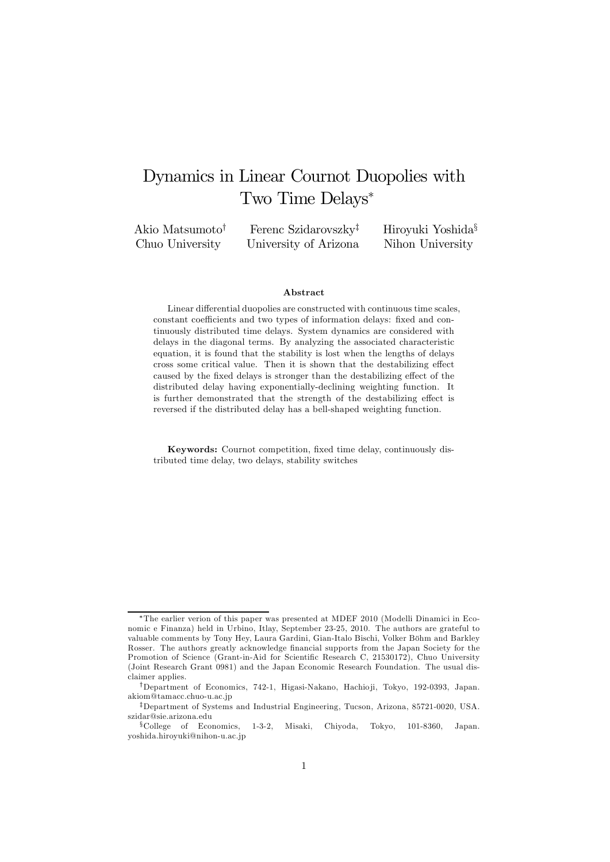# Dynamics in Linear Cournot Duopolies with Two Time Delays<sup>∗</sup>

Akio Matsumoto† Chuo University Ferenc Szidarovszky‡ University of Arizona Hiroyuki Yoshida§ Nihon University

#### Abstract

Linear differential duopolies are constructed with continuous time scales, constant coefficients and two types of information delays: fixed and continuously distributed time delays. System dynamics are considered with delays in the diagonal terms. By analyzing the associated characteristic equation, it is found that the stability is lost when the lengths of delays cross some critical value. Then it is shown that the destabilizing effect caused by the fixed delays is stronger than the destabilizing effect of the distributed delay having exponentially-declining weighting function. It is further demonstrated that the strength of the destabilizing effect is reversed if the distributed delay has a bell-shaped weighting function.

Keywords: Cournot competition, fixed time delay, continuously distributed time delay, two delays, stability switches

<sup>∗</sup>The earlier verion of this paper was presented at MDEF 2010 (Modelli Dinamici in Economic e Finanza) held in Urbino, Itlay, September 23-25, 2010. The authors are grateful to valuable comments by Tony Hey, Laura Gardini, Gian-Italo Bischi, Volker Böhm and Barkley Rosser. The authors greatly acknowledge financial supports from the Japan Society for the Promotion of Science (Grant-in-Aid for Scientific Research C, 21530172), Chuo University (Joint Research Grant 0981) and the Japan Economic Research Foundation. The usual disclaimer applies.

<sup>†</sup>Department of Economics, 742-1, Higasi-Nakano, Hachio ji, Tokyo, 192-0393, Japan. akiom@tamacc.chuo-u.ac.jp

<sup>‡</sup>Department of Systems and Industrial Engineering, Tucson, Arizona, 85721-0020, USA. szidar@sie.arizona.edu

<sup>§</sup>College of Economics, 1-3-2, Misaki, Chiyoda, Tokyo, 101-8360, Japan. yoshida.hiroyuki@nihon-u.ac.jp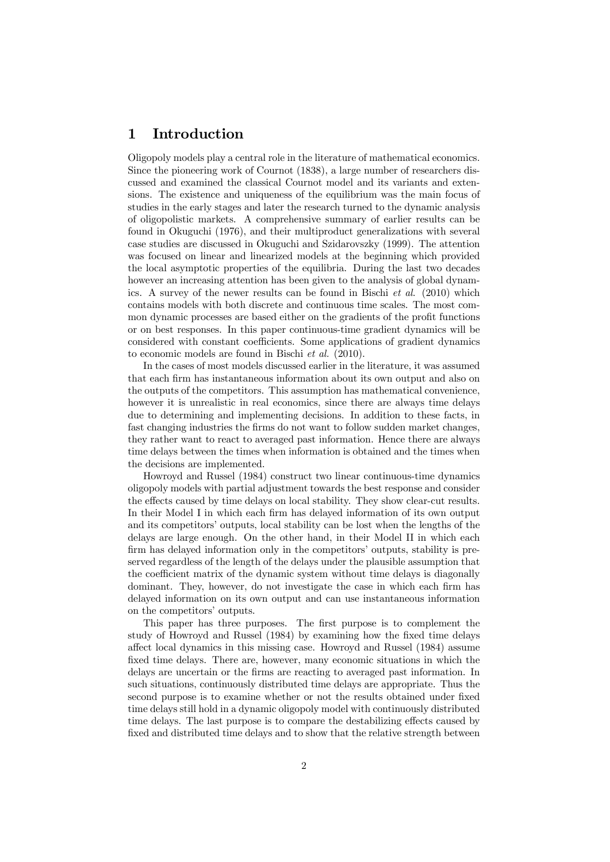### 1 Introduction

Oligopoly models play a central role in the literature of mathematical economics. Since the pioneering work of Cournot (1838), a large number of researchers discussed and examined the classical Cournot model and its variants and extensions. The existence and uniqueness of the equilibrium was the main focus of studies in the early stages and later the research turned to the dynamic analysis of oligopolistic markets. A comprehensive summary of earlier results can be found in Okuguchi (1976), and their multiproduct generalizations with several case studies are discussed in Okuguchi and Szidarovszky (1999). The attention was focused on linear and linearized models at the beginning which provided the local asymptotic properties of the equilibria. During the last two decades however an increasing attention has been given to the analysis of global dynamics. A survey of the newer results can be found in Bischi *et al*. (2010) which contains models with both discrete and continuous time scales. The most common dynamic processes are based either on the gradients of the profit functions or on best responses. In this paper continuous-time gradient dynamics will be considered with constant coefficients. Some applications of gradient dynamics to economic models are found in Bischi *et al.* (2010).

In the cases of most models discussed earlier in the literature, it was assumed that each firm has instantaneous information about its own output and also on the outputs of the competitors. This assumption has mathematical convenience, however it is unrealistic in real economics, since there are always time delays due to determining and implementing decisions. In addition to these facts, in fast changing industries the firms do not want to follow sudden market changes, they rather want to react to averaged past information. Hence there are always time delays between the times when information is obtained and the times when the decisions are implemented.

Howroyd and Russel (1984) construct two linear continuous-time dynamics oligopoly models with partial adjustment towards the best response and consider the effects caused by time delays on local stability. They show clear-cut results. In their Model I in which each firm has delayed information of its own output and its competitors' outputs, local stability can be lost when the lengths of the delays are large enough. On the other hand, in their Model II in which each firm has delayed information only in the competitors' outputs, stability is preserved regardless of the length of the delays under the plausible assumption that the coefficient matrix of the dynamic system without time delays is diagonally dominant. They, however, do not investigate the case in which each firm has delayed information on its own output and can use instantaneous information on the competitors' outputs.

This paper has three purposes. The first purpose is to complement the study of Howroyd and Russel (1984) by examining how the fixed time delays affect local dynamics in this missing case. Howroyd and Russel (1984) assume fixed time delays. There are, however, many economic situations in which the delays are uncertain or the firms are reacting to averaged past information. In such situations, continuously distributed time delays are appropriate. Thus the second purpose is to examine whether or not the results obtained under fixed time delays still hold in a dynamic oligopoly model with continuously distributed time delays. The last purpose is to compare the destabilizing effects caused by fixed and distributed time delays and to show that the relative strength between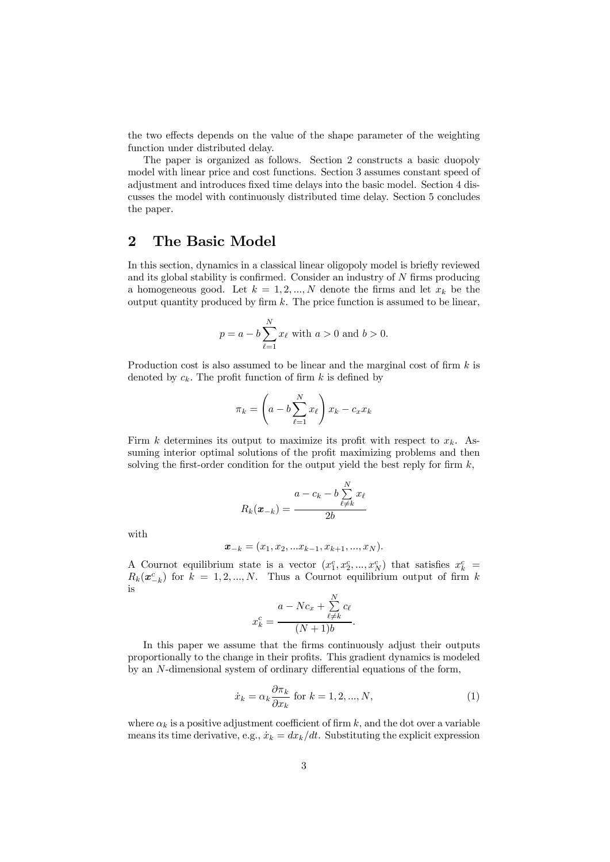the two effects depends on the value of the shape parameter of the weighting function under distributed delay.

The paper is organized as follows. Section 2 constructs a basic duopoly model with linear price and cost functions. Section 3 assumes constant speed of adjustment and introduces fixed time delays into the basic model. Section 4 discusses the model with continuously distributed time delay. Section 5 concludes the paper.

## 2 The Basic Model

In this section, dynamics in a classical linear oligopoly model is briefly reviewed and its global stability is confirmed. Consider an industry of  $N$  firms producing a homogeneous good. Let  $k = 1, 2, ..., N$  denote the firms and let  $x_k$  be the output quantity produced by firm  $k$ . The price function is assumed to be linear,

$$
p = a - b \sum_{\ell=1}^{N} x_{\ell}
$$
 with  $a > 0$  and  $b > 0$ .

Production cost is also assumed to be linear and the marginal cost of firm  $k$  is denoted by  $c_k$ . The profit function of firm k is defined by

$$
\pi_k = \left(a - b \sum_{\ell=1}^N x_\ell\right) x_k - c_x x_k
$$

Firm k determines its output to maximize its profit with respect to  $x_k$ . Assuming interior optimal solutions of the profit maximizing problems and then solving the first-order condition for the output yield the best reply for firm  $k$ ,

$$
R_k(\boldsymbol{x}_{-k}) = \frac{a - c_k - b \sum\limits_{\ell \neq k}^N x_\ell}{2b}
$$

with

$$
\boldsymbol{x}_{-k} = (x_1, x_2, ... x_{k-1}, x_{k+1}, ..., x_N).
$$

A Cournot equilibrium state is a vector  $(x_1^c, x_2^c, ..., x_N^c)$  that satisfies  $x_k^c$  =  $R_k(\boldsymbol{x}_{-k}^c)$  for  $k = 1, 2, ..., N$ . Thus a Cournot equilibrium output of firm k is

$$
x_k^c = \frac{a - Nc_x + \sum\limits_{\ell \neq k}^N c_\ell}{(N+1)b}.
$$

In this paper we assume that the firms continuously adjust their outputs proportionally to the change in their profits. This gradient dynamics is modeled by an N-dimensional system of ordinary differential equations of the form,

$$
\dot{x}_k = \alpha_k \frac{\partial \pi_k}{\partial x_k} \text{ for } k = 1, 2, ..., N,
$$
\n(1)

where  $\alpha_k$  is a positive adjustment coefficient of firm k, and the dot over a variable means its time derivative, e.g.,  $\dot{x}_k = dx_k/dt$ . Substituting the explicit expression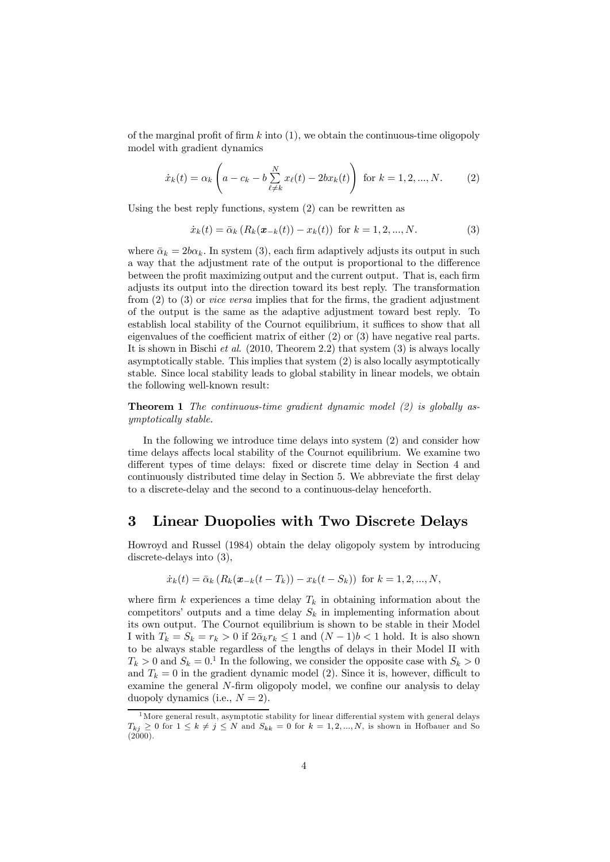of the marginal profit of firm  $k$  into  $(1)$ , we obtain the continuous-time oligopoly model with gradient dynamics

$$
\dot{x}_k(t) = \alpha_k \left( a - c_k - b \sum_{\ell \neq k}^N x_\ell(t) - 2bx_k(t) \right) \text{ for } k = 1, 2, ..., N. \tag{2}
$$

Using the best reply functions, system (2) can be rewritten as

$$
\dot{x}_k(t) = \bar{\alpha}_k (R_k(\pmb{x}_{-k}(t)) - x_k(t)) \text{ for } k = 1, 2, ..., N. \tag{3}
$$

where  $\bar{\alpha}_k = 2b\alpha_k$ . In system (3), each firm adaptively adjusts its output in such a way that the adjustment rate of the output is proportional to the difference between the profit maximizing output and the current output. That is, each firm adjusts its output into the direction toward its best reply. The transformation from (2) to (3) or *vice versa* implies that for the firms, the gradient adjustment of the output is the same as the adaptive adjustment toward best reply. To establish local stability of the Cournot equilibrium, it suffices to show that all eigenvalues of the coefficient matrix of either (2) or (3) have negative real parts. It is shown in Bischi *et al*. (2010, Theorem 2.2) that system (3) is always locally asymptotically stable. This implies that system (2) is also locally asymptotically stable. Since local stability leads to global stability in linear models, we obtain the following well-known result:

Theorem 1 *The continuous-time gradient dynamic model (2) is globally asymptotically stable.*

In the following we introduce time delays into system (2) and consider how time delays affects local stability of the Cournot equilibrium. We examine two different types of time delays: fixed or discrete time delay in Section 4 and continuously distributed time delay in Section 5. We abbreviate the first delay to a discrete-delay and the second to a continuous-delay henceforth.

### 3 Linear Duopolies with Two Discrete Delays

Howroyd and Russel (1984) obtain the delay oligopoly system by introducing discrete-delays into (3),

$$
\dot{x}_k(t) = \bar{\alpha}_k (R_k(\mathbf{x}_{-k}(t - T_k)) - x_k(t - S_k)) \text{ for } k = 1, 2, ..., N,
$$

where firm k experiences a time delay  $T_k$  in obtaining information about the competitors' outputs and a time delay  $S_k$  in implementing information about its own output. The Cournot equilibrium is shown to be stable in their Model I with  $T_k = S_k = r_k > 0$  if  $2\bar{\alpha}_k r_k \leq 1$  and  $(N-1)b < 1$  hold. It is also shown to be always stable regardless of the lengths of delays in their Model II with  $T_k > 0$  and  $S_k = 0$ .<sup>1</sup> In the following, we consider the opposite case with  $S_k > 0$ and  $T_k = 0$  in the gradient dynamic model (2). Since it is, however, difficult to examine the general N-firm oligopoly model, we confine our analysis to delay duopoly dynamics (i.e.,  $N = 2$ ).

<sup>&</sup>lt;sup>1</sup>More general result, asymptotic stability for linear differential system with general delays  $T_{kj} \geq 0$  for  $1 \leq k \neq j \leq N$  and  $S_{kk} = 0$  for  $k = 1, 2, ..., N$ , is shown in Hofbauer and So  $(2000)$ .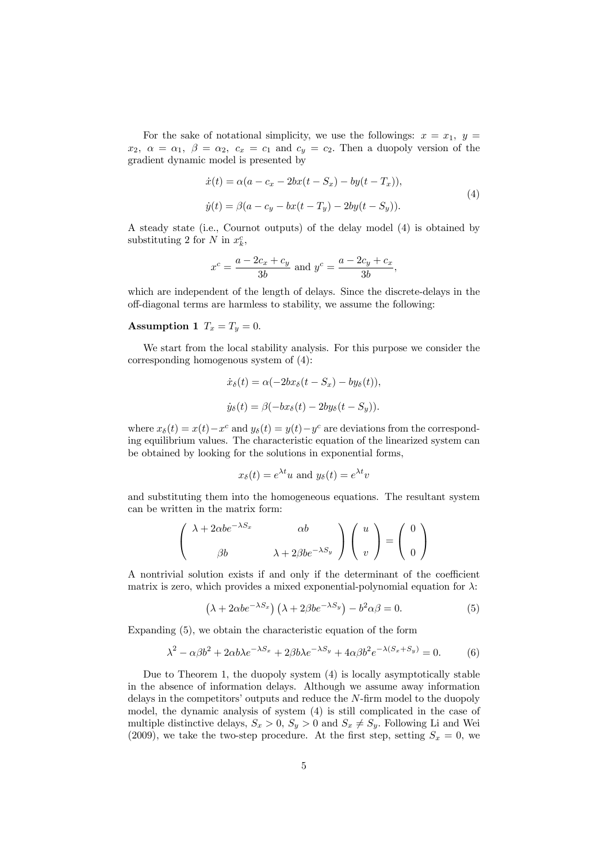For the sake of notational simplicity, we use the followings:  $x = x_1, y =$  $x_2, \alpha = \alpha_1, \beta = \alpha_2, c_x = c_1$  and  $c_y = c_2$ . Then a duopoly version of the gradient dynamic model is presented by

$$
\begin{aligned} \dot{x}(t) &= \alpha(a - c_x - 2bx(t - S_x) - by(t - T_x)), \\ \dot{y}(t) &= \beta(a - c_y - bx(t - T_y) - 2by(t - S_y)). \end{aligned} \tag{4}
$$

A steady state (i.e., Cournot outputs) of the delay model (4) is obtained by substituting 2 for N in  $x_k^c$ ,

$$
x^{c} = \frac{a - 2c_{x} + c_{y}}{3b} \text{ and } y^{c} = \frac{a - 2c_{y} + c_{x}}{3b},
$$

which are independent of the length of delays. Since the discrete-delays in the off-diagonal terms are harmless to stability, we assume the following:

#### Assumption 1  $T_x = T_y = 0$ .

We start from the local stability analysis. For this purpose we consider the corresponding homogenous system of (4):

$$
\dot{x}_{\delta}(t) = \alpha(-2bx_{\delta}(t - S_x) - by_{\delta}(t)),
$$
  

$$
\dot{y}_{\delta}(t) = \beta(-bx_{\delta}(t) - 2by_{\delta}(t - S_y)).
$$

where  $x_\delta(t) = x(t) - x^c$  and  $y_\delta(t) = y(t) - y^c$  are deviations from the corresponding equilibrium values. The characteristic equation of the linearized system can be obtained by looking for the solutions in exponential forms,

$$
x_{\delta}(t) = e^{\lambda t}u
$$
 and  $y_{\delta}(t) = e^{\lambda t}v$ 

and substituting them into the homogeneous equations. The resultant system can be written in the matrix form:

$$
\begin{pmatrix} \lambda + 2\alpha b e^{-\lambda S_x} & \alpha b \\ \beta b & \lambda + 2\beta b e^{-\lambda S_y} \end{pmatrix} \begin{pmatrix} u \\ v \end{pmatrix} = \begin{pmatrix} 0 \\ 0 \end{pmatrix}
$$

A nontrivial solution exists if and only if the determinant of the coefficient matrix is zero, which provides a mixed exponential-polynomial equation for  $\lambda$ :

$$
\left(\lambda + 2\alpha b e^{-\lambda S_x}\right)\left(\lambda + 2\beta b e^{-\lambda S_y}\right) - b^2 \alpha \beta = 0. \tag{5}
$$

Expanding (5), we obtain the characteristic equation of the form

$$
\lambda^2 - \alpha \beta b^2 + 2\alpha b \lambda e^{-\lambda S_x} + 2\beta b \lambda e^{-\lambda S_y} + 4\alpha \beta b^2 e^{-\lambda (S_x + S_y)} = 0. \tag{6}
$$

Due to Theorem 1, the duopoly system (4) is locally asymptotically stable in the absence of information delays. Although we assume away information delays in the competitors' outputs and reduce the N-firm model to the duopoly model, the dynamic analysis of system (4) is still complicated in the case of multiple distinctive delays,  $S_x > 0$ ,  $S_y > 0$  and  $S_x \neq S_y$ . Following Li and Wei (2009), we take the two-step procedure. At the first step, setting  $S_x = 0$ , we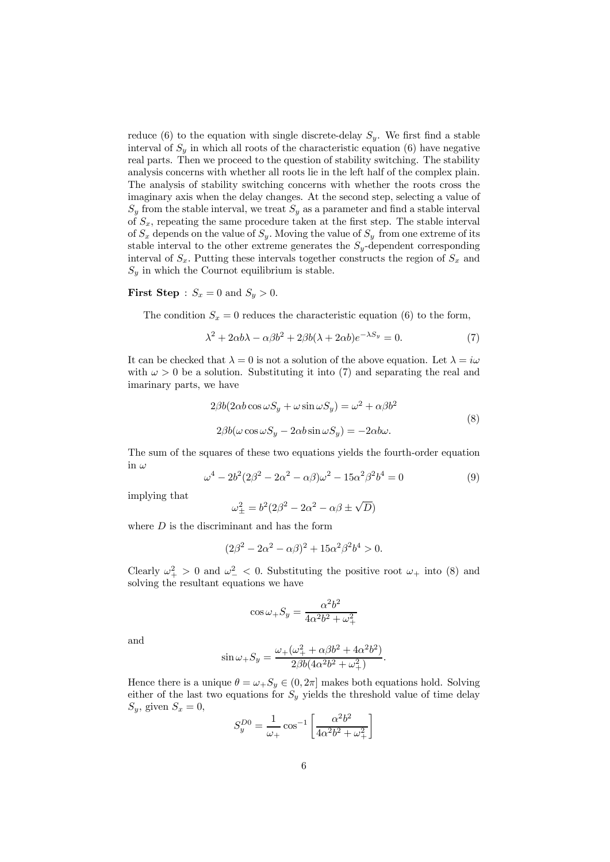reduce (6) to the equation with single discrete-delay  $S_y$ . We first find a stable interval of  $S_y$  in which all roots of the characteristic equation (6) have negative real parts. Then we proceed to the question of stability switching. The stability analysis concerns with whether all roots lie in the left half of the complex plain. The analysis of stability switching concerns with whether the roots cross the imaginary axis when the delay changes. At the second step, selecting a value of  $S_y$  from the stable interval, we treat  $S_y$  as a parameter and find a stable interval of  $S_x$ , repeating the same procedure taken at the first step. The stable interval of  $S_x$  depends on the value of  $S_y$ . Moving the value of  $S_y$  from one extreme of its stable interval to the other extreme generates the  $S_y$ -dependent corresponding interval of  $S_x$ . Putting these intervals together constructs the region of  $S_x$  and  $S_y$  in which the Cournot equilibrium is stable.

#### **First Step** :  $S_x = 0$  and  $S_y > 0$ .

The condition  $S_x = 0$  reduces the characteristic equation (6) to the form,

$$
\lambda^2 + 2\alpha b\lambda - \alpha\beta b^2 + 2\beta b(\lambda + 2\alpha b)e^{-\lambda S_y} = 0.
$$
 (7)

It can be checked that  $\lambda = 0$  is not a solution of the above equation. Let  $\lambda = i\omega$ with  $\omega > 0$  be a solution. Substituting it into (7) and separating the real and imarinary parts, we have

$$
2\beta b(2\alpha b \cos \omega S_y + \omega \sin \omega S_y) = \omega^2 + \alpha \beta b^2
$$
  

$$
2\beta b(\omega \cos \omega S_y - 2\alpha b \sin \omega S_y) = -2\alpha b \omega.
$$
 (8)

The sum of the squares of these two equations yields the fourth-order equation in  $\omega$ 

$$
\omega^4 - 2b^2(2\beta^2 - 2\alpha^2 - \alpha\beta)\omega^2 - 15\alpha^2\beta^2b^4 = 0
$$
 (9)

implying that

$$
\omega_{\pm}^2 = b^2(2\beta^2 - 2\alpha^2 - \alpha\beta \pm \sqrt{D})
$$

where  $D$  is the discriminant and has the form

$$
(2\beta^2 - 2\alpha^2 - \alpha\beta)^2 + 15\alpha^2\beta^2b^4 > 0.
$$

Clearly  $\omega_+^2 > 0$  and  $\omega_-^2 < 0$ . Substituting the positive root  $\omega_+$  into (8) and solving the resultant equations we have

$$
\cos \omega_+ S_y = \frac{\alpha^2 b^2}{4\alpha^2 b^2 + \omega_+^2}
$$

and

$$
\sin \omega_+ S_y = \frac{\omega_+ (\omega_+^2 + \alpha \beta b^2 + 4\alpha^2 b^2)}{2\beta b (4\alpha^2 b^2 + \omega_+^2)}.
$$

Hence there is a unique  $\theta = \omega_+ S_y \in (0, 2\pi]$  makes both equations hold. Solving either of the last two equations for  $S_y$  yields the threshold value of time delay  $S_y$ , given  $S_x = 0$ ,

$$
S_y^{D0} = \frac{1}{\omega_+} \cos^{-1} \left[ \frac{\alpha^2 b^2}{4\alpha^2 b^2 + \omega_+^2} \right]
$$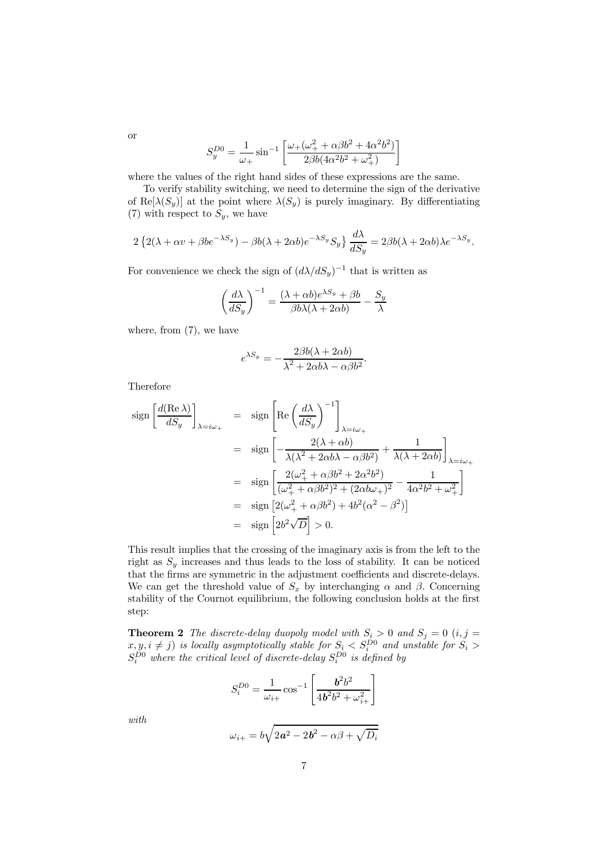$$
S_y^{D0} = \frac{1}{\omega_+} \sin^{-1} \left[ \frac{\omega_+ (\omega_+^2 + \alpha \beta b^2 + 4 \alpha^2 b^2)}{2 \beta b (4 \alpha^2 b^2 + \omega_+^2)} \right]
$$

where the values of the right hand sides of these expressions are the same.

To verify stability switching, we need to determine the sign of the derivative of Re $[\lambda(S_y)]$  at the point where  $\lambda(S_y)$  is purely imaginary. By differentiating (7) with respect to  $S_y$ , we have

$$
2\left\{2(\lambda+\alpha v+\beta b e^{-\lambda S_y})-\beta b(\lambda+2\alpha b)e^{-\lambda S_y}S_y\right\}\frac{d\lambda}{dS_y}=2\beta b(\lambda+2\alpha b)\lambda e^{-\lambda S_y}.
$$

For convenience we check the sign of  $(d\lambda/dS_y)^{-1}$  that is written as

$$
\left(\frac{d\lambda}{dS_y}\right)^{-1} = \frac{(\lambda + \alpha b)e^{\lambda S_y} + \beta b}{\beta b\lambda(\lambda + 2\alpha b)} - \frac{S_y}{\lambda}
$$

where, from (7), we have

$$
e^{\lambda S_y} = -\frac{2\beta b(\lambda + 2\alpha b)}{\lambda^2 + 2\alpha b\lambda - \alpha\beta b^2}.
$$

Therefore

$$
\text{sign}\left[\frac{d(\text{Re }\lambda)}{dS_y}\right]_{\lambda=i\omega_+} = \text{sign}\left[\text{Re}\left(\frac{d\lambda}{dS_y}\right)^{-1}\right]_{\lambda=i\omega_+} \n= \text{sign}\left[-\frac{2(\lambda+\alpha b)}{\lambda(\lambda^2+2\alpha b\lambda-\alpha\beta b^2)}+\frac{1}{\lambda(\lambda+2\alpha b)}\right]_{\lambda=i\omega_+} \n= \text{sign}\left[\frac{2(\omega_+^2+\alpha\beta b^2+2\alpha^2 b^2)}{(\omega_+^2+\alpha\beta b^2)^2+(2\alpha b\omega_+)^2}-\frac{1}{4\alpha^2 b^2+\omega_+^2}\right] \n= \text{sign}\left[2(\omega_+^2+\alpha\beta b^2)+4b^2(\alpha^2-\beta^2)\right] \n= \text{sign}\left[2b^2\sqrt{D}\right] > 0.
$$

This result implies that the crossing of the imaginary axis is from the left to the right as  $S_y$  increases and thus leads to the loss of stability. It can be noticed that the firms are symmetric in the adjustment coefficients and discrete-delays. We can get the threshold value of  $S_x$  by interchanging  $\alpha$  and  $\beta$ . Concerning stability of the Cournot equilibrium, the following conclusion holds at the first step:

**Theorem 2** *The discrete-delay duopoly model with*  $S_i > 0$  *and*  $S_j = 0$  (*i, j* =  $(x, y, i \neq j)$  is locally asymptotically stable for  $S_i < S_i^{D0}$  and unstable for  $S_i > j$  $S_i^{D0}$  where the critical level of discrete-delay  $S_i^{D0}$  is defined by

$$
S_i^{D0} = \frac{1}{\omega_{i+}} \cos^{-1} \left[ \frac{b^2 b^2}{4b^2 b^2 + \omega_{i+}^2} \right]
$$

*with*

$$
\omega_{i+} = b\sqrt{2a^2 - 2b^2 - \alpha\beta + \sqrt{D_i}}
$$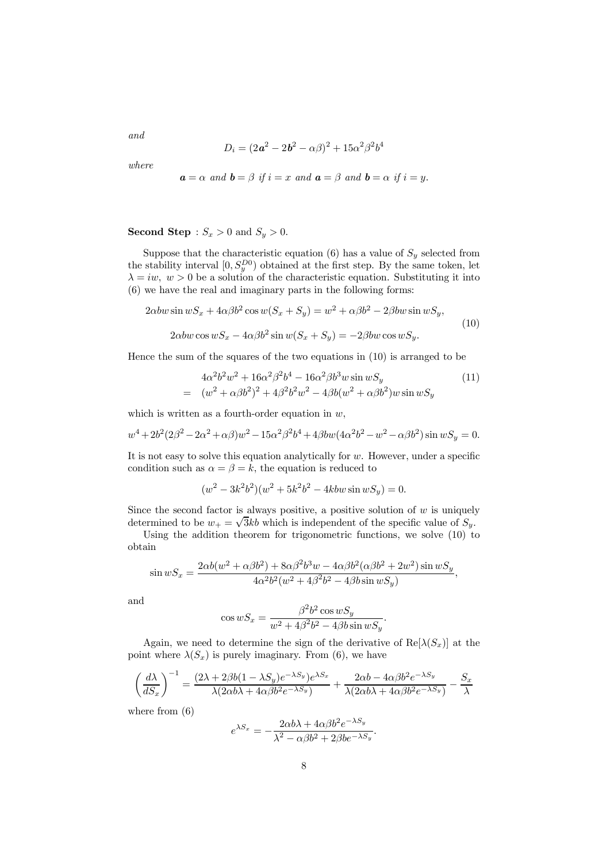*and*

$$
D_i = (2a^2 - 2b^2 - \alpha \beta)^2 + 15\alpha^2 \beta^2 b^4
$$

*where*

$$
\mathbf{a} = \alpha
$$
 and  $\mathbf{b} = \beta$  if  $i = x$  and  $\mathbf{a} = \beta$  and  $\mathbf{b} = \alpha$  if  $i = y$ .

#### **Second Step** :  $S_x > 0$  and  $S_y > 0$ .

Suppose that the characteristic equation (6) has a value of  $S_y$  selected from the stability interval  $[0, S_y^{D0})$  obtained at the first step. By the same token, let  $\lambda = iw, w > 0$  be a solution of the characteristic equation. Substituting it into (6) we have the real and imaginary parts in the following forms:

$$
2\alpha bw \sin wS_x + 4\alpha \beta b^2 \cos w(S_x + S_y) = w^2 + \alpha \beta b^2 - 2\beta bw \sin wS_y,
$$
  

$$
2\alpha bw \cos wS_x - 4\alpha \beta b^2 \sin w(S_x + S_y) = -2\beta bw \cos wS_y.
$$
  
(10)

Hence the sum of the squares of the two equations in (10) is arranged to be

$$
4\alpha^{2}b^{2}w^{2} + 16\alpha^{2}\beta^{2}b^{4} - 16\alpha^{2}\beta b^{3}w\sin wS_{y}
$$
\n
$$
= (w^{2} + \alpha\beta b^{2})^{2} + 4\beta^{2}b^{2}w^{2} - 4\beta b(w^{2} + \alpha\beta b^{2})w\sin wS_{y}
$$
\n(11)

which is written as a fourth-order equation in  $w$ ,

$$
w^{4} + 2b^{2}(2\beta^{2} - 2\alpha^{2} + \alpha\beta)w^{2} - 15\alpha^{2}\beta^{2}b^{4} + 4\beta bw(4\alpha^{2}b^{2} - w^{2} - \alpha\beta b^{2})\sin wS_{y} = 0.
$$

It is not easy to solve this equation analytically for  $w$ . However, under a specific condition such as  $\alpha = \beta = k$ , the equation is reduced to

$$
(w2 – 3k2b2)(w2 + 5k2b2 – 4kbw sin wSy) = 0.
$$

Since the second factor is always positive, a positive solution of  $w$  is uniquely determined to be  $w_+ = \sqrt{3}kb$  which is independent of the specific value of  $S_y$ .

Using the addition theorem for trigonometric functions, we solve (10) to obtain

$$
\sin wS_x = \frac{2\alpha b(w^2 + \alpha\beta b^2) + 8\alpha\beta^2 b^3 w - 4\alpha\beta b^2 (\alpha\beta b^2 + 2w^2)\sin wS_y}{4\alpha^2 b^2 (w^2 + 4\beta^2 b^2 - 4\beta b \sin wS_y)}
$$

,

and

$$
\cos wS_x = \frac{\beta^2 b^2 \cos wS_y}{w^2 + 4\beta^2 b^2 - 4\beta b \sin wS_y}.
$$

Again, we need to determine the sign of the derivative of  $\text{Re}[\lambda(S_x)]$  at the point where  $\lambda(S_x)$  is purely imaginary. From (6), we have

$$
\left(\frac{d\lambda}{dS_x}\right)^{-1} = \frac{(2\lambda + 2\beta b(1 - \lambda S_y)e^{-\lambda S_y})e^{\lambda S_x}}{\lambda(2\alpha b\lambda + 4\alpha\beta b^2 e^{-\lambda S_y})} + \frac{2\alpha b - 4\alpha\beta b^2 e^{-\lambda S_y}}{\lambda(2\alpha b\lambda + 4\alpha\beta b^2 e^{-\lambda S_y})} - \frac{S_x}{\lambda}
$$

where from  $(6)$ 

$$
e^{\lambda S_x} = -\frac{2\alpha b\lambda + 4\alpha\beta b^2 e^{-\lambda S_y}}{\lambda^2 - \alpha\beta b^2 + 2\beta b e^{-\lambda S_y}}.
$$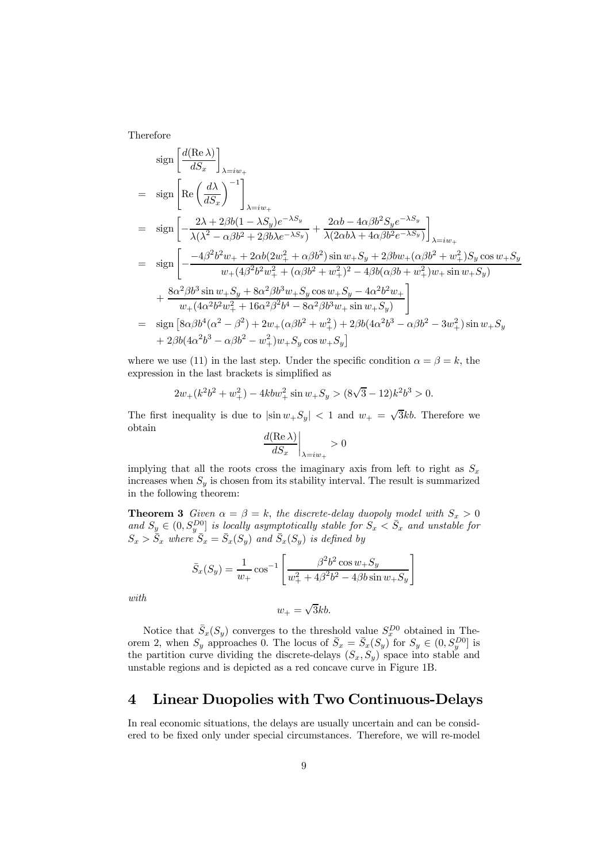Therefore

$$
\begin{split}\n&\text{sign}\left[\frac{d(\text{Re }\lambda)}{dS_{x}}\right]_{\lambda=iw_{+}} \\
&= \text{sign}\left[\text{Re}\left(\frac{d\lambda}{dS_{x}}\right)^{-1}\right]_{\lambda=iw_{+}} \\
&= \text{sign}\left[-\frac{2\lambda + 2\beta b(1 - \lambda S_{y})e^{-\lambda S_{y}}}{\lambda(\lambda^{2} - \alpha\beta b^{2} + 2\beta b\lambda e^{-\lambda S_{y}})} + \frac{2\alpha b - 4\alpha\beta b^{2} S_{y}e^{-\lambda S_{y}}}{\lambda(2\alpha b\lambda + 4\alpha\beta b^{2}e^{-\lambda S_{y}})}\right]_{\lambda=iw_{+}} \\
&= \text{sign}\left[-\frac{-4\beta^{2}b^{2}w_{+} + 2\alpha b(2w_{+}^{2} + \alpha\beta b^{2})\sin w_{+}S_{y} + 2\beta bw_{+}(\alpha\beta b^{2} + w_{+}^{2})S_{y}\cos w_{+}S_{y} + w_{+}^{2}(3\beta b^{2}w_{+}^{2})\cos w_{+}S_{y} + w_{+}^{2}(3\beta b^{2}w_{+}^{2})\cos w_{+}S_{y}\cos w_{+}S_{y}\cos w_{+}S_{y}\cos w_{+}S_{y}\cos w_{+}S_{y}\cos w_{+}S_{y}\cos w_{+}S_{y}\cos w_{+}S_{y}\cos w_{+}S_{y}\cos w_{+}S_{y}\cos w_{+}S_{y}\cos w_{+}S_{y}\cos w_{+}S_{y}\cos w_{+}S_{y}\cos w_{+}S_{y}\cos w_{+}S_{y}\cos w_{+}S_{y}\cos w_{+}S_{y}\cos w_{+}S_{y}\cos w_{+}S_{y}\cos w_{+}S_{y}\cos w_{+}S_{y}\cos w_{+}S_{y}\cos w_{+}S_{y}\cos w_{+}S_{y}\cos w_{+}S_{y}\cos w_{+}S_{y}\cos w_{+}S_{y}\cos w_{+}S_{y}\cos w_{+}S_{y}\cos w_{+}S_{y}\cos w_{+}S_{y}\cos w_{+}S_{y}\cos w_{+}S_{y}\cos w_{+}S_{y}\cos w_{+}S_{y}\cos w_{+}S_{y}\cos w_{+}S_{y}\cos w_{+}S_{y}\cos w_{+}S_{y}\cos w_{+}S_{y}\cos w_{+}S_{y
$$

where we use (11) in the last step. Under the specific condition  $\alpha = \beta = k$ , the expression in the last brackets is simplified as

$$
2w_+(k^2b^2+w_+^2)-4kbw_+^2\sin w_+S_y>(8\sqrt{3}-12)k^2b^3>0.
$$

The first inequality is due to  $|\sin w_+ S_y| < 1$  and  $w_+ = \sqrt{3}kb$ . Therefore we obtain

$$
\frac{d(\mathop{\rm Re}\nolimits \lambda)}{dS_x}\bigg|_{\lambda= i w_+} > 0
$$

implying that all the roots cross the imaginary axis from left to right as  $S_x$ increases when  $S_y$  is chosen from its stability interval. The result is summarized in the following theorem:

**Theorem 3** *Given*  $\alpha = \beta = k$ , *the discrete-delay duopoly model with*  $S_x > 0$ and  $S_y \in (0, S_y^{D0}]$  is locally asymptotically stable for  $S_x < \bar{S}_x$  and unstable for  $S_x > \overline{S}_x$  where  $\overline{S}_x = \overline{S}_x(S_y)$  and  $\overline{S}_x(S_y)$  is defined by

$$
\bar{S}_x(S_y) = \frac{1}{w_+} \cos^{-1} \left[ \frac{\beta^2 b^2 \cos w_+ S_y}{w_+^2 + 4\beta^2 b^2 - 4\beta b \sin w_+ S_y} \right]
$$
  

$$
w_+ = \sqrt{3}kb.
$$

*with*

Notice that 
$$
\bar{S}_x(S_y)
$$
 converges to the threshold value  $S_x^{D0}$  obtained in Theorem 2, when  $S_y$  approaches 0. The locus of  $\bar{S}_x = \bar{S}_x(S_y)$  for  $S_y \in (0, S_y^{D0}]$  is the partition curve dividing the discrete-delays  $(S_x, S_y)$  space into stable and unstable regions and is depicted as a red concave curve in Figure 1B.

D0

## 4 Linear Duopolies with Two Continuous-Delays

In real economic situations, the delays are usually uncertain and can be considered to be fixed only under special circumstances. Therefore, we will re-model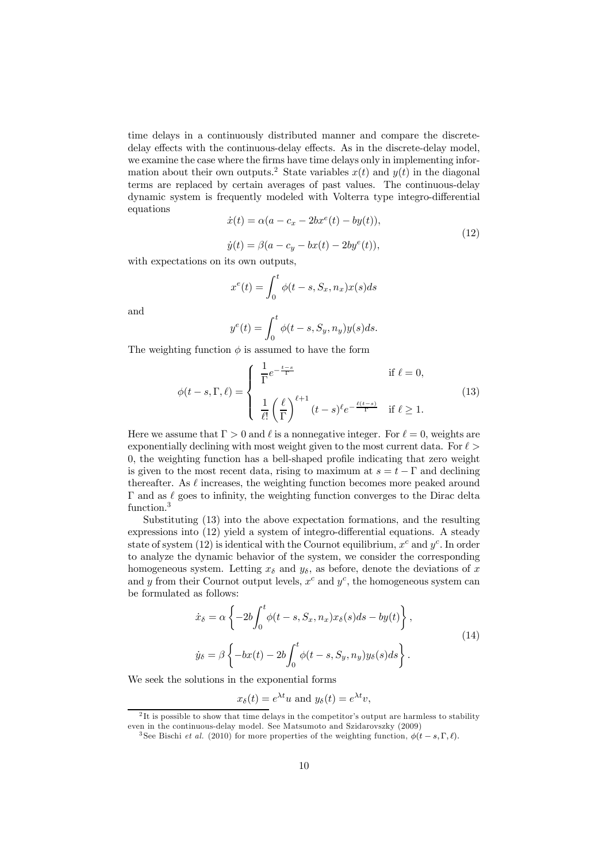time delays in a continuously distributed manner and compare the discretedelay effects with the continuous-delay effects. As in the discrete-delay model, we examine the case where the firms have time delays only in implementing information about their own outputs.<sup>2</sup> State variables  $x(t)$  and  $y(t)$  in the diagonal terms are replaced by certain averages of past values. The continuous-delay dynamic system is frequently modeled with Volterra type integro-differential equations

$$
\begin{aligned} \dot{x}(t) &= \alpha(a - c_x - 2bx^e(t) - by(t)), \\ \dot{y}(t) &= \beta(a - c_y - bx(t) - 2by^e(t)), \end{aligned} \tag{12}
$$

with expectations on its own outputs,

$$
x^{e}(t) = \int_{0}^{t} \phi(t - s, S_x, n_x) x(s) ds
$$

and

$$
y^{e}(t) = \int_{0}^{t} \phi(t-s, S_y, n_y) y(s) ds.
$$

The weighting function  $\phi$  is assumed to have the form

$$
\phi(t-s,\Gamma,\ell) = \begin{cases} \frac{1}{\Gamma}e^{-\frac{t-s}{\Gamma}} & \text{if } \ell = 0, \\ \frac{1}{\ell!} \left(\frac{\ell}{\Gamma}\right)^{\ell+1} (t-s)^{\ell} e^{-\frac{\ell(t-s)}{\Gamma}} & \text{if } \ell \ge 1. \end{cases}
$$
(13)

Here we assume that  $\Gamma > 0$  and  $\ell$  is a nonnegative integer. For  $\ell = 0$ , weights are exponentially declining with most weight given to the most current data. For  $\ell >$ 0, the weighting function has a bell-shaped profile indicating that zero weight is given to the most recent data, rising to maximum at  $s = t - \Gamma$  and declining thereafter. As  $\ell$  increases, the weighting function becomes more peaked around  $\Gamma$  and as  $\ell$  goes to infinity, the weighting function converges to the Dirac delta function.<sup>3</sup>

Substituting (13) into the above expectation formations, and the resulting expressions into (12) yield a system of integro-differential equations. A steady state of system (12) is identical with the Cournot equilibrium,  $x^c$  and  $y^c$ . In order to analyze the dynamic behavior of the system, we consider the corresponding homogeneous system. Letting  $x_{\delta}$  and  $y_{\delta}$ , as before, denote the deviations of x and y from their Cournot output levels,  $x^c$  and  $y^c$ , the homogeneous system can be formulated as follows:

$$
\dot{x}_{\delta} = \alpha \left\{ -2b \int_{0}^{t} \phi(t-s, S_x, n_x) x_{\delta}(s) ds - by(t) \right\},
$$
  
\n
$$
\dot{y}_{\delta} = \beta \left\{ -bx(t) - 2b \int_{0}^{t} \phi(t-s, S_y, n_y) y_{\delta}(s) ds \right\}.
$$
\n(14)

We seek the solutions in the exponential forms

 $x_\delta(t) = e^{\lambda t}u$  and  $y_\delta(t) = e^{\lambda t}v$ ,

<sup>&</sup>lt;sup>2</sup>It is possible to show that time delays in the competitor's output are harmless to stability even in the continuous-delay model. See Matsumoto and Szidarovszky (2009)

<sup>&</sup>lt;sup>3</sup> See Bischi *et al.* (2010) for more properties of the weighting function,  $\phi(t-s,\Gamma,\ell)$ .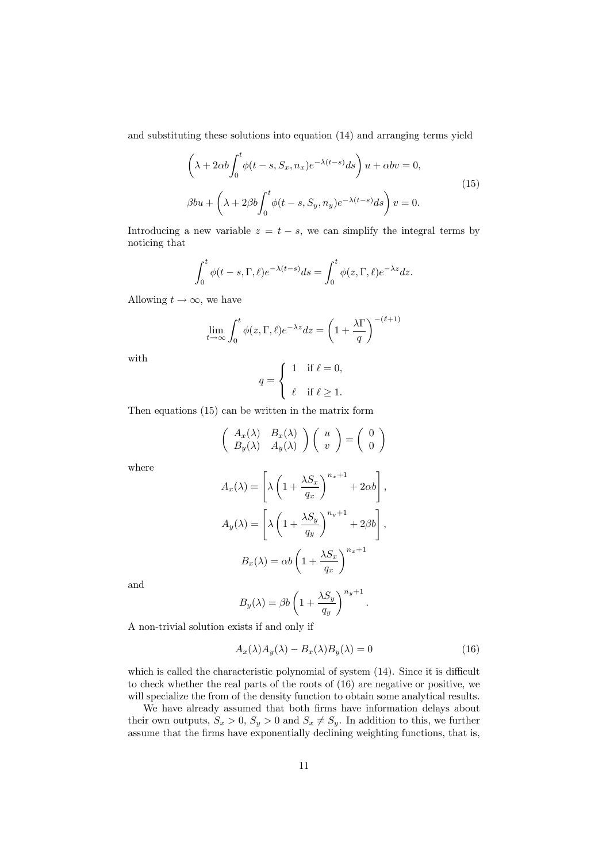and substituting these solutions into equation (14) and arranging terms yield

$$
\left(\lambda + 2\alpha b \int_0^t \phi(t-s, S_x, n_x) e^{-\lambda(t-s)} ds\right) u + \alpha b v = 0,
$$
  
\n
$$
\beta b u + \left(\lambda + 2\beta b \int_0^t \phi(t-s, S_y, n_y) e^{-\lambda(t-s)} ds\right) v = 0.
$$
\n(15)

Introducing a new variable  $z = t - s$ , we can simplify the integral terms by noticing that

$$
\int_0^t \phi(t-s,\Gamma,\ell)e^{-\lambda(t-s)}ds = \int_0^t \phi(z,\Gamma,\ell)e^{-\lambda z}dz.
$$

Allowing  $t \to \infty$ , we have

$$
\lim_{t \to \infty} \int_0^t \phi(z, \Gamma, \ell) e^{-\lambda z} dz = \left(1 + \frac{\lambda \Gamma}{q}\right)^{-(\ell+1)}
$$

with

$$
q = \begin{cases} 1 & \text{if } \ell = 0, \\ \ell & \text{if } \ell \ge 1. \end{cases}
$$

Then equations (15) can be written in the matrix form

$$
\left(\begin{array}{cc} A_x(\lambda) & B_x(\lambda) \\ B_y(\lambda) & A_y(\lambda) \end{array}\right) \left(\begin{array}{c} u \\ v \end{array}\right) = \left(\begin{array}{c} 0 \\ 0 \end{array}\right)
$$

where

$$
A_x(\lambda) = \left[\lambda \left(1 + \frac{\lambda S_x}{q_x}\right)^{n_x + 1} + 2\alpha b\right],
$$
  

$$
A_y(\lambda) = \left[\lambda \left(1 + \frac{\lambda S_y}{q_y}\right)^{n_y + 1} + 2\beta b\right],
$$
  

$$
B_x(\lambda) = \alpha b \left(1 + \frac{\lambda S_x}{q_x}\right)^{n_x + 1}
$$

and

$$
B_y(\lambda) = \beta b \left( 1 + \frac{\lambda S_y}{q_y} \right)^{n_y + 1}.
$$

A non-trivial solution exists if and only if

$$
A_x(\lambda)A_y(\lambda) - B_x(\lambda)B_y(\lambda) = 0
$$
\n(16)

which is called the characteristic polynomial of system  $(14)$ . Since it is difficult to check whether the real parts of the roots of (16) are negative or positive, we will specialize the from of the density function to obtain some analytical results.

We have already assumed that both firms have information delays about their own outputs,  $S_x > 0$ ,  $S_y > 0$  and  $S_x \neq S_y$ . In addition to this, we further assume that the firms have exponentially declining weighting functions, that is,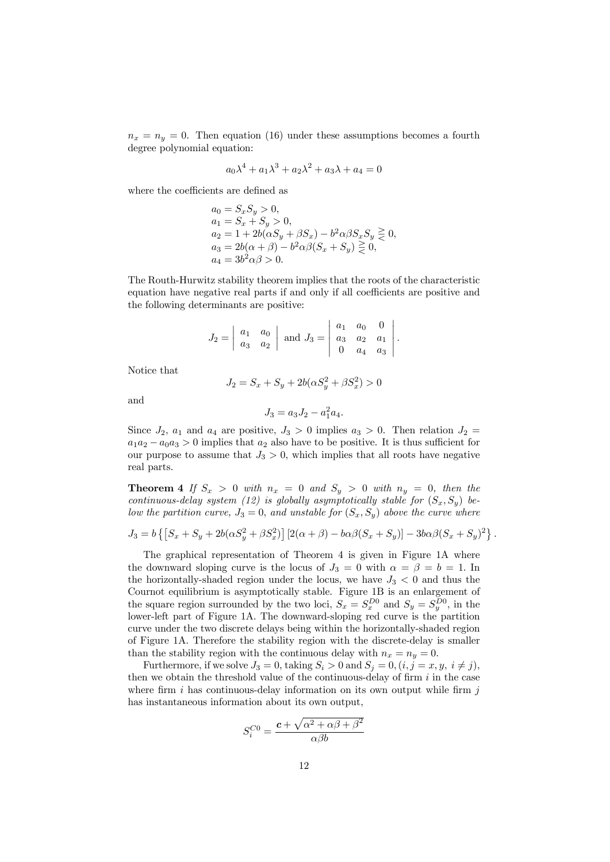$n_x = n_y = 0$ . Then equation (16) under these assumptions becomes a fourth degree polynomial equation:

$$
a_0 \lambda^4 + a_1 \lambda^3 + a_2 \lambda^2 + a_3 \lambda + a_4 = 0
$$

where the coefficients are defined as

$$
a_0 = S_x S_y > 0,\n a_1 = S_x + S_y > 0,\n a_2 = 1 + 2b(\alpha S_y + \beta S_x) - b^2 \alpha \beta S_x S_y \ge 0,\n a_3 = 2b(\alpha + \beta) - b^2 \alpha \beta (S_x + S_y) \ge 0,\n a_4 = 3b^2 \alpha \beta > 0.
$$

The Routh-Hurwitz stability theorem implies that the roots of the characteristic equation have negative real parts if and only if all coefficients are positive and the following determinants are positive:

$$
J_2 = \begin{vmatrix} a_1 & a_0 \\ a_3 & a_2 \end{vmatrix}
$$
 and 
$$
J_3 = \begin{vmatrix} a_1 & a_0 & 0 \\ a_3 & a_2 & a_1 \\ 0 & a_4 & a_3 \end{vmatrix}
$$
.

Notice that

$$
J_2 = S_x + S_y + 2b(\alpha S_y^2 + \beta S_x^2) > 0
$$

and

$$
J_3 = a_3 J_2 - a_1^2 a_4.
$$

Since  $J_2$ ,  $a_1$  and  $a_4$  are positive,  $J_3 > 0$  implies  $a_3 > 0$ . Then relation  $J_2 =$  $a_1a_2 - a_0a_3 > 0$  implies that  $a_2$  also have to be positive. It is thus sufficient for our purpose to assume that  $J_3 > 0$ , which implies that all roots have negative real parts.

**Theorem 4** If  $S_x > 0$  with  $n_x = 0$  and  $S_y > 0$  with  $n_y = 0$ , then the *continuous-delay system (12) is globally asymptotically stable for*  $(S_x, S_y)$  *below the partition curve,*  $J_3 = 0$ *, and unstable for*  $(S_x, S_y)$  *above the curve where* 

$$
J_3 = b\left\{ \left[ S_x + S_y + 2b(\alpha S_y^2 + \beta S_x^2) \right] \left[ 2(\alpha + \beta) - b\alpha\beta(S_x + S_y) \right] - 3b\alpha\beta(S_x + S_y)^2 \right\}
$$

.

The graphical representation of Theorem 4 is given in Figure 1A where the downward sloping curve is the locus of  $J_3 = 0$  with  $\alpha = \beta = b = 1$ . In the horizontally-shaded region under the locus, we have  $J_3 < 0$  and thus the Cournot equilibrium is asymptotically stable. Figure 1B is an enlargement of the square region surrounded by the two loci,  $S_x = S_x^{D0}$  and  $S_y = S_y^{D0}$ , in the lower-left part of Figure 1A. The downward-sloping red curve is the partition curve under the two discrete delays being within the horizontally-shaded region of Figure 1A. Therefore the stability region with the discrete-delay is smaller than the stability region with the continuous delay with  $n_x = n_y = 0$ .

Furthermore, if we solve  $J_3 = 0$ , taking  $S_i > 0$  and  $S_j = 0$ ,  $(i, j = x, y, i \neq j)$ , then we obtain the threshold value of the continuous-delay of firm  $i$  in the case where firm i has continuous-delay information on its own output while firm  $j$ has instantaneous information about its own output,

$$
S_i^{C0} = \frac{\bm{c} + \sqrt{\alpha^2 + \alpha\beta + \beta^2}}{\alpha\beta b}
$$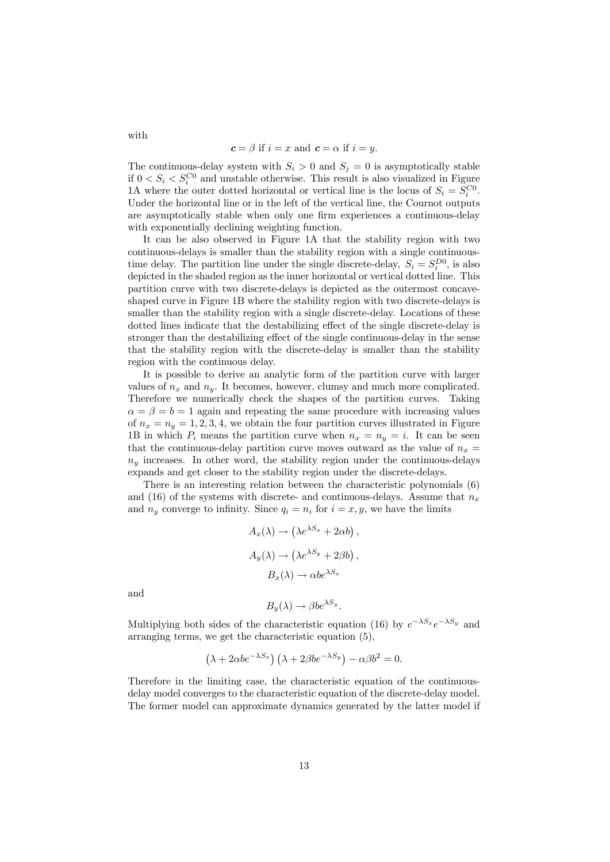$$
c = \beta
$$
 if  $i = x$  and  $c = \alpha$  if  $i = y$ .

The continuous-delay system with  $S_i > 0$  and  $S_j = 0$  is asymptotically stable if  $0 < S_i < S_i^{CO}$  and unstable otherwise. This result is also visualized in Figure 1A where the outer dotted horizontal or vertical line is the locus of  $S_i = S_i^{CO}$ . Under the horizontal line or in the left of the vertical line, the Cournot outputs are asymptotically stable when only one firm experiences a continuous-delay with exponentially declining weighting function.

It can be also observed in Figure 1A that the stability region with two continuous-delays is smaller than the stability region with a single continuoustime delay. The partition line under the single discrete-delay,  $S_i = S_i^{D0}$ , is also depicted in the shaded region as the inner horizontal or vertical dotted line. This partition curve with two discrete-delays is depicted as the outermost concaveshaped curve in Figure 1B where the stability region with two discrete-delays is smaller than the stability region with a single discrete-delay. Locations of these dotted lines indicate that the destabilizing effect of the single discrete-delay is stronger than the destabilizing effect of the single continuous-delay in the sense that the stability region with the discrete-delay is smaller than the stability region with the continuous delay.

It is possible to derive an analytic form of the partition curve with larger values of  $n_x$  and  $n_y$ . It becomes, however, clumsy and much more complicated. Therefore we numerically check the shapes of the partition curves. Taking  $\alpha = \beta = b = 1$  again and repeating the same procedure with increasing values of  $n_x = n_y = 1, 2, 3, 4$ , we obtain the four partition curves illustrated in Figure 1B in which  $P_i$  means the partition curve when  $n_x = n_y = i$ . It can be seen that the continuous-delay partition curve moves outward as the value of  $n_x =$  $n_y$  increases. In other word, the stability region under the continuous-delays expands and get closer to the stability region under the discrete-delays.

There is an interesting relation between the characteristic polynomials (6) and (16) of the systems with discrete- and continuous-delays. Assume that  $n_x$ and  $n_y$  converge to infinity. Since  $q_i = n_i$  for  $i = x, y$ , we have the limits

$$
A_x(\lambda) \to (\lambda e^{\lambda S_x} + 2\alpha b),
$$
  
\n
$$
A_y(\lambda) \to (\lambda e^{\lambda S_y} + 2\beta b),
$$
  
\n
$$
B_x(\lambda) \to \alpha b e^{\lambda S_x}
$$

and

$$
B_y(\lambda) \to \beta b e^{\lambda S_y}.
$$

Multiplying both sides of the characteristic equation (16) by  $e^{-\lambda S_x}e^{-\lambda S_y}$  and arranging terms, we get the characteristic equation (5),

$$
(\lambda + 2\alpha b e^{-\lambda S_x}) (\lambda + 2\beta b e^{-\lambda S_y}) - \alpha \beta b^2 = 0.
$$

Therefore in the limiting case, the characteristic equation of the continuousdelay model converges to the characteristic equation of the discrete-delay model. The former model can approximate dynamics generated by the latter model if

with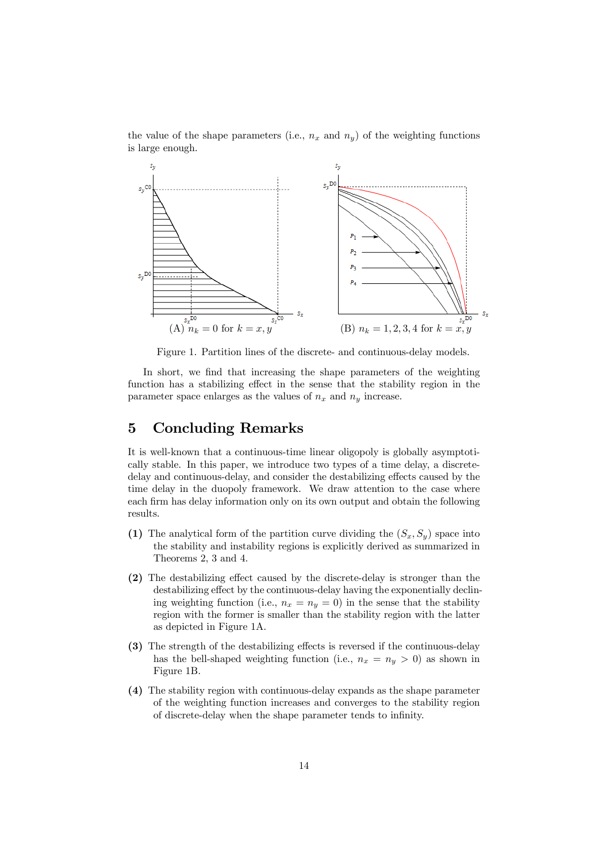the value of the shape parameters (i.e.,  $n_x$  and  $n_y$ ) of the weighting functions is large enough.



Figure 1. Partition lines of the discrete- and continuous-delay models.

In short, we find that increasing the shape parameters of the weighting function has a stabilizing effect in the sense that the stability region in the parameter space enlarges as the values of  $n_x$  and  $n_y$  increase.

## 5 Concluding Remarks

It is well-known that a continuous-time linear oligopoly is globally asymptotically stable. In this paper, we introduce two types of a time delay, a discretedelay and continuous-delay, and consider the destabilizing effects caused by the time delay in the duopoly framework. We draw attention to the case where each firm has delay information only on its own output and obtain the following results.

- (1) The analytical form of the partition curve dividing the  $(S_x, S_y)$  space into the stability and instability regions is explicitly derived as summarized in Theorems 2, 3 and 4.
- (2) The destabilizing effect caused by the discrete-delay is stronger than the destabilizing effect by the continuous-delay having the exponentially declining weighting function (i.e.,  $n_x = n_y = 0$ ) in the sense that the stability region with the former is smaller than the stability region with the latter as depicted in Figure 1A.
- (3) The strength of the destabilizing effects is reversed if the continuous-delay has the bell-shaped weighting function (i.e.,  $n_x = n_y > 0$ ) as shown in Figure 1B.
- (4) The stability region with continuous-delay expands as the shape parameter of the weighting function increases and converges to the stability region of discrete-delay when the shape parameter tends to infinity.